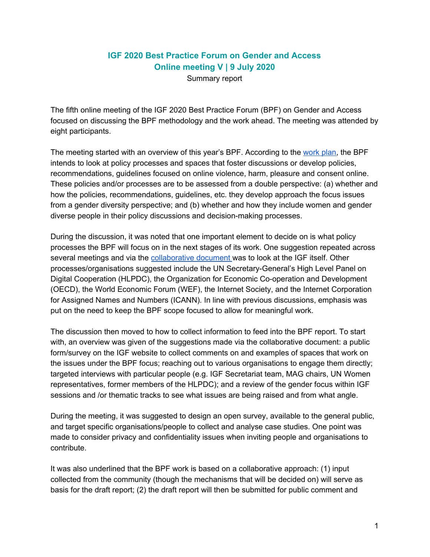## **IGF 2020 Best Practice Forum on Gender and Access Online meeting V | 9 July 2020**

Summary report

The fifth online meeting of the IGF 2020 Best Practice Forum (BPF) on Gender and Access focused on discussing the BPF methodology and the work ahead. The meeting was attended by eight participants.

The meeting started with an overview of this year's BPF. According to the [work](https://www.intgovforum.org/multilingual/filedepot_download/5004/2070) plan, the BPF intends to look at policy processes and spaces that foster discussions or develop policies, recommendations, guidelines focused on online violence, harm, pleasure and consent online. These policies and/or processes are to be assessed from a double perspective: (a) whether and how the policies, recommendations, guidelines, etc. they develop approach the focus issues from a gender diversity perspective; and (b) whether and how they include women and gender diverse people in their policy discussions and decision-making processes.

During the discussion, it was noted that one important element to decide on is what policy processes the BPF will focus on in the next stages of its work. One suggestion repeated across several meetings and via the [collaborative](https://docs.google.com/document/d/18ZnXuNHJT0cZ2NZzLU6N8gVSbyNJ3ktdJB1aperGYrc/edit) document was to look at the IGF itself. Other processes/organisations suggested include the UN Secretary-General's High Level Panel on Digital Cooperation (HLPDC), the Organization for Economic Co-operation and Development (OECD), the World Economic Forum (WEF), the Internet Society, and the Internet Corporation for Assigned Names and Numbers (ICANN). In line with previous discussions, emphasis was put on the need to keep the BPF scope focused to allow for meaningful work.

The discussion then moved to how to collect information to feed into the BPF report. To start with, an overview was given of the suggestions made via the collaborative document: a public form/survey on the IGF website to collect comments on and examples of spaces that work on the issues under the BPF focus; reaching out to various organisations to engage them directly; targeted interviews with particular people (e.g. IGF Secretariat team, MAG chairs, UN Women representatives, former members of the HLPDC); and a review of the gender focus within IGF sessions and /or thematic tracks to see what issues are being raised and from what angle.

During the meeting, it was suggested to design an open survey, available to the general public, and target specific organisations/people to collect and analyse case studies. One point was made to consider privacy and confidentiality issues when inviting people and organisations to contribute.

It was also underlined that the BPF work is based on a collaborative approach: (1) input collected from the community (though the mechanisms that will be decided on) will serve as basis for the draft report; (2) the draft report will then be submitted for public comment and